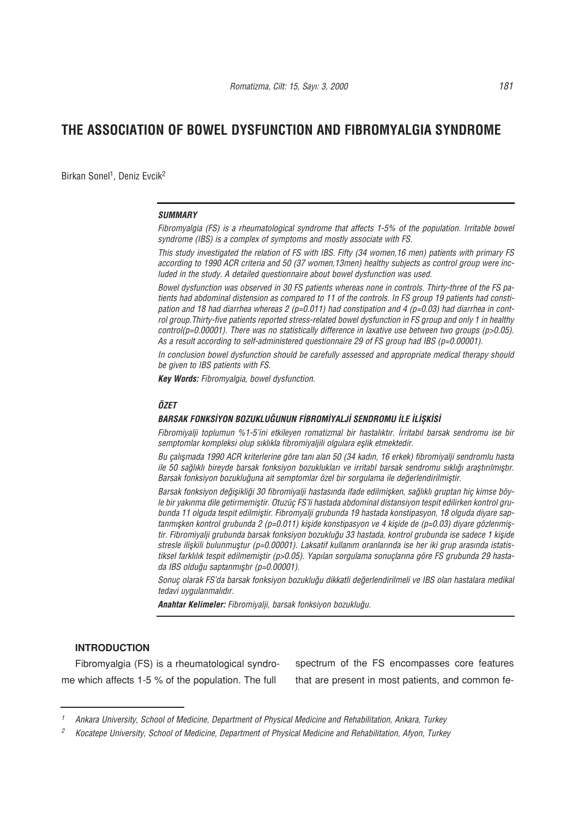Birkan Sonel<sup>1</sup>, Deniz Evcik<sup>2</sup>

#### *SUMMARY*

*Fibromyalgia (FS) is a rheumatological syndrome that affects 1-5% of the population. Irritable bowel syndrome (IBS) is a complex of symptoms and mostly associate with FS.*

*This study investigated the relation of FS with IBS. Fifty (34 women,16 men) patients with primary FS according to 1990 ACR criteria and 50 (37 women,13men) healthy subjects as control group were included in the study. A detailed questionnaire about bowel dysfunction was used.*

*Bowel dysfunction was observed in 30 FS patients whereas none in controls. Thirty-three of the FS patients had abdominal distension as compared to 11 of the controls. In FS group 19 patients had constipation and 18 had diarrhea whereas 2 (p=0.011) had constipation and 4 (p=0.03) had diarrhea in control group.Thirty-five patients reported stress-related bowel dysfunction in FS group and only 1 in healthy control(p=0.00001). There was no statistically difference in laxative use between two groups (p>0.05). As a result according to self-administered questionnaire 29 of FS group had IBS (p=0.00001).*

*In conclusion bowel dysfunction should be carefully assessed and appropriate medical therapy should be given to IBS patients with FS.* 

*Key Words: Fibromyalgia, bowel dysfunction.*

#### *ÖZET*

### BARSAK FONKSİYON BOZUKLUĞUNUN FİBROMİYALJİ SENDROMU İLE İLİŞKİSİ

Fibromiyalii toplumun %1-5'ini etkileyen romatizmal bir hastalıktır. *İrritabıl barsak sendromu ise bir* semptomlar kompleksi olup sıklıkla fibromiyaljili olgulara eşlik etmektedir.

*Bu çal›flmada 1990 ACR kriterlerine göre tan› alan 50 (34 kad›n, 16 erkek) fibromiyalji sendromlu hasta* ile 50 sağlıklı bireyde barsak fonksiyon bozuklukları ve irritabl barsak sendromu sıklığı araştırılmıştır. Barsak fonksiyon bozukluğuna ait semptomlar özel bir sorgulama ile değerlendirilmiştir.

Barsak fonksiyon değisikliği 30 fibromiyalii hastasında ifade edilmişken, sağlıklı gruptan hiç kimse böyle bir yakınma dile getirmemiştir. Otuzüç FS'li hastada abdominal distansiyon tespit edilirken kontrol grubunda 11 olguda tespit edilmiştir. Fibromyalji grubunda 19 hastada konstipasyon, 18 olguda diyare saptanmişken kontrol grubunda 2 (p=0.011) kişide konstipasyon ve 4 kişide de (p=0.03) diyare gözlenmiştir. Fibromiyalji grubunda barsak fonksiyon bozukluğu 33 hastada, kontrol grubunda ise sadece 1 kişide stresle iliskili bulunmustur (p=0.00001). Laksatif kullanım oranlarında ise her iki grup arasında istatistiksel farklılık tespit edilmemiştir (p>0.05). Yapılan sorgulama sonuçlarına göre FS grubunda 29 hastada IBS olduğu saptanmıştır (p=0.00001).

*Sonuç olarak FS'da barsak fonksiyon bozuklu¤u dikkatli de¤erlendirilmeli ve IBS olan hastalara medikal tedavi uygulanmalıdır.* 

**Anahtar Kelimeler: Fibromiyalji, barsak fonksiyon bozukluğu.** 

## **INTRODUCTION**

Fibromyalgia (FS) is a rheumatological syndrome which affects 1-5 % of the population. The full

spectrum of the FS encompasses core features that are present in most patients, and common fe-

*<sup>1</sup> Ankara University, School of Medicine, Department of Physical Medicine and Rehabilitation, Ankara, Turkey*

*<sup>2</sup> Kocatepe University, School of Medicine, Department of Physical Medicine and Rehabilitation, Afyon, Turkey*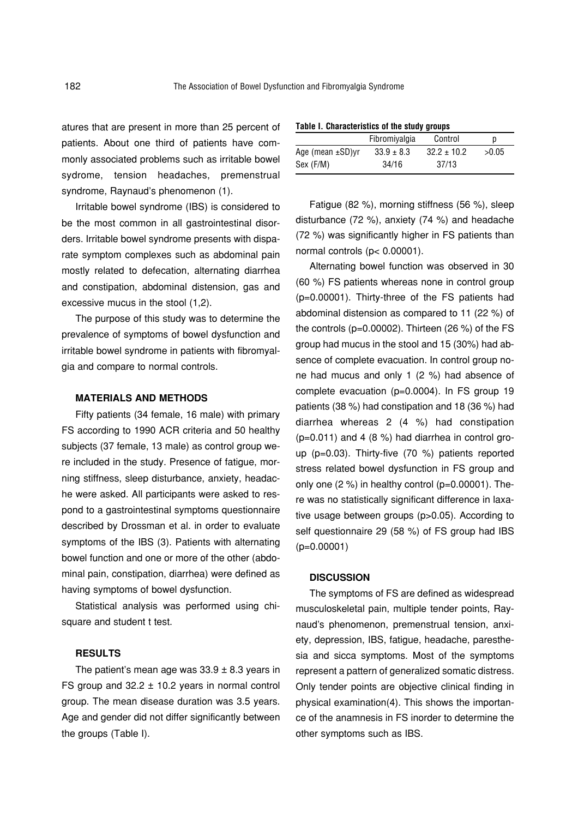atures that are present in more than 25 percent of patients. About one third of patients have commonly associated problems such as irritable bowel sydrome, tension headaches, premenstrual syndrome, Raynaud's phenomenon (1).

Irritable bowel syndrome (IBS) is considered to be the most common in all gastrointestinal disorders. Irritable bowel syndrome presents with disparate symptom complexes such as abdominal pain mostly related to defecation, alternating diarrhea and constipation, abdominal distension, gas and excessive mucus in the stool (1,2).

The purpose of this study was to determine the prevalence of symptoms of bowel dysfunction and irritable bowel syndrome in patients with fibromyalgia and compare to normal controls.

## **MATERIALS AND METHODS**

Fifty patients (34 female, 16 male) with primary FS according to 1990 ACR criteria and 50 healthy subjects (37 female, 13 male) as control group were included in the study. Presence of fatigue, morning stiffness, sleep disturbance, anxiety, headache were asked. All participants were asked to respond to a gastrointestinal symptoms questionnaire described by Drossman et al. in order to evaluate symptoms of the IBS (3). Patients with alternating bowel function and one or more of the other (abdominal pain, constipation, diarrhea) were defined as having symptoms of bowel dysfunction.

Statistical analysis was performed using chisquare and student t test.

# **RESULTS**

The patient's mean age was  $33.9 \pm 8.3$  years in FS group and  $32.2 \pm 10.2$  years in normal control group. The mean disease duration was 3.5 years. Age and gender did not differ significantly between the groups (Table I).

| Table I. Characteristics of the study groups |                |                 |       |
|----------------------------------------------|----------------|-----------------|-------|
|                                              | Fibromivalgia  | Control         | n     |
| Age (mean $\pm$ SD)yr                        | $33.9 \pm 8.3$ | $32.2 \pm 10.2$ | >0.05 |
| Sex (F/M)                                    | 34/16          | 37/13           |       |

Fatigue (82 %), morning stiffness (56 %), sleep disturbance (72 %), anxiety (74 %) and headache (72 %) was significantly higher in FS patients than normal controls (p< 0.00001).

Alternating bowel function was observed in 30 (60 %) FS patients whereas none in control group (p=0.00001). Thirty-three of the FS patients had abdominal distension as compared to 11 (22 %) of the controls (p=0.00002). Thirteen (26 %) of the FS group had mucus in the stool and 15 (30%) had absence of complete evacuation. In control group none had mucus and only 1 (2 %) had absence of complete evacuation (p=0.0004). In FS group 19 patients (38 %) had constipation and 18 (36 %) had diarrhea whereas 2 (4 %) had constipation  $(p=0.011)$  and 4 (8 %) had diarrhea in control group (p=0.03). Thirty-five (70 %) patients reported stress related bowel dysfunction in FS group and only one (2 %) in healthy control (p=0.00001). There was no statistically significant difference in laxative usage between groups (p>0.05). According to self questionnaire 29 (58 %) of FS group had IBS (p=0.00001)

### **DISCUSSION**

The symptoms of FS are defined as widespread musculoskeletal pain, multiple tender points, Raynaud's phenomenon, premenstrual tension, anxiety, depression, IBS, fatigue, headache, paresthesia and sicca symptoms. Most of the symptoms represent a pattern of generalized somatic distress. Only tender points are objective clinical finding in physical examination(4). This shows the importance of the anamnesis in FS inorder to determine the other symptoms such as IBS.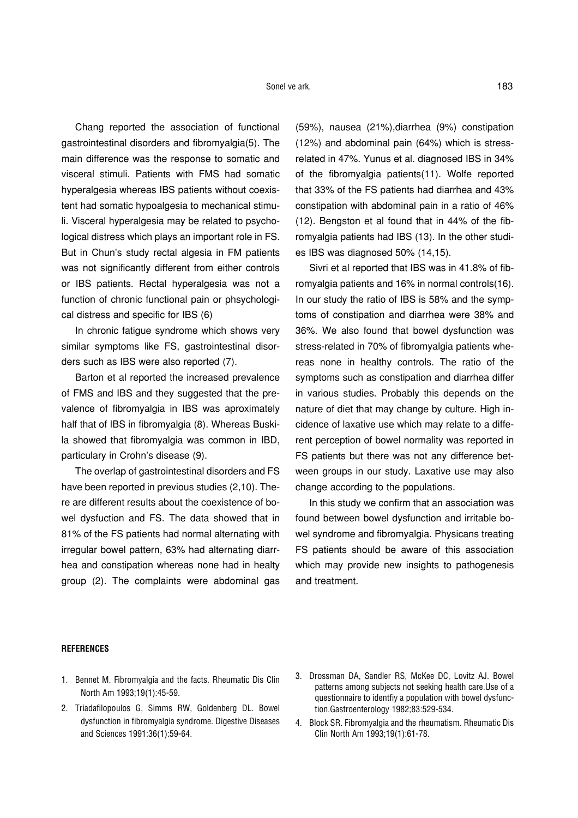Chang reported the association of functional gastrointestinal disorders and fibromyalgia(5). The main difference was the response to somatic and visceral stimuli. Patients with FMS had somatic hyperalgesia whereas IBS patients without coexistent had somatic hypoalgesia to mechanical stimuli. Visceral hyperalgesia may be related to psychological distress which plays an important role in FS. But in Chun's study rectal algesia in FM patients was not significantly different from either controls or IBS patients. Rectal hyperalgesia was not a function of chronic functional pain or phsychological distress and specific for IBS (6)

In chronic fatigue syndrome which shows very similar symptoms like FS, gastrointestinal disorders such as IBS were also reported (7).

Barton et al reported the increased prevalence of FMS and IBS and they suggested that the prevalence of fibromyalgia in IBS was aproximately half that of IBS in fibromyalgia (8). Whereas Buskila showed that fibromyalgia was common in IBD, particulary in Crohn's disease (9).

The overlap of gastrointestinal disorders and FS have been reported in previous studies (2,10). There are different results about the coexistence of bowel dysfuction and FS. The data showed that in 81% of the FS patients had normal alternating with irregular bowel pattern, 63% had alternating diarrhea and constipation whereas none had in healty group (2). The complaints were abdominal gas

(59%), nausea (21%),diarrhea (9%) constipation (12%) and abdominal pain (64%) which is stressrelated in 47%. Yunus et al. diagnosed IBS in 34% of the fibromyalgia patients(11). Wolfe reported that 33% of the FS patients had diarrhea and 43% constipation with abdominal pain in a ratio of 46% (12). Bengston et al found that in 44% of the fibromyalgia patients had IBS (13). In the other studies IBS was diagnosed 50% (14,15).

Sivri et al reported that IBS was in 41.8% of fibromyalgia patients and 16% in normal controls(16). In our study the ratio of IBS is 58% and the symptoms of constipation and diarrhea were 38% and 36%. We also found that bowel dysfunction was stress-related in 70% of fibromyalgia patients whereas none in healthy controls. The ratio of the symptoms such as constipation and diarrhea differ in various studies. Probably this depends on the nature of diet that may change by culture. High incidence of laxative use which may relate to a different perception of bowel normality was reported in FS patients but there was not any difference between groups in our study. Laxative use may also change according to the populations.

In this study we confirm that an association was found between bowel dysfunction and irritable bowel syndrome and fibromyalgia. Physicans treating FS patients should be aware of this association which may provide new insights to pathogenesis and treatment.

#### **REFERENCES**

- 1. Bennet M. Fibromyalgia and the facts. Rheumatic Dis Clin North Am 1993;19(1):45-59.
- 2. Triadafilopoulos G, Simms RW, Goldenberg DL. Bowel dysfunction in fibromyalgia syndrome. Digestive Diseases and Sciences 1991:36(1):59-64.
- 3. Drossman DA, Sandler RS, McKee DC, Lovitz AJ. Bowel patterns among subjects not seeking health care.Use of a questionnaire to identfiy a population with bowel dysfunction.Gastroenterology 1982;83:529-534.
- 4. Block SR. Fibromyalgia and the rheumatism. Rheumatic Dis Clin North Am 1993;19(1):61-78.